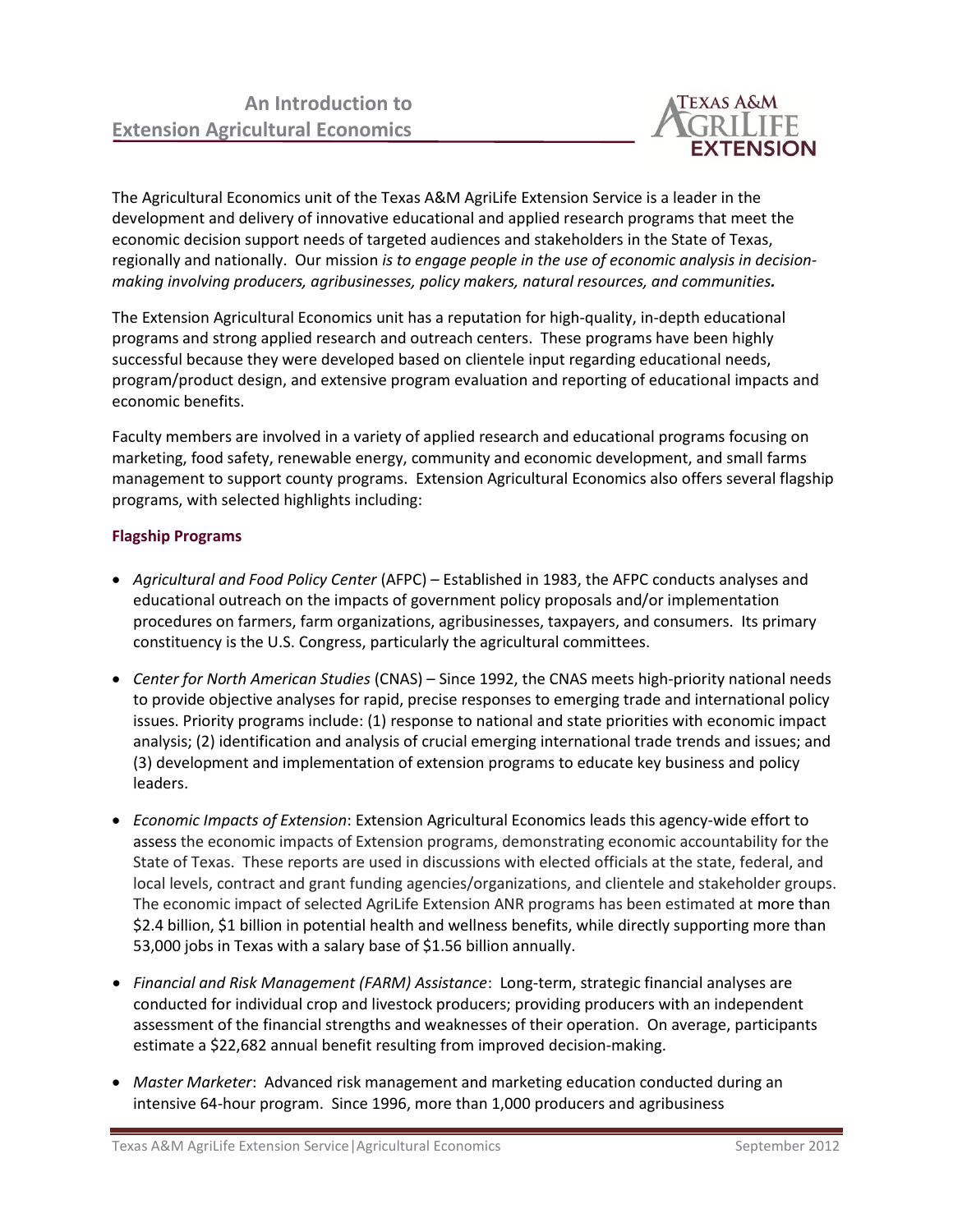

The Agricultural Economics unit of the Texas A&M AgriLife Extension Service is a leader in the development and delivery of innovative educational and applied research programs that meet the economic decision support needs of targeted audiences and stakeholders in the State of Texas, regionally and nationally. Our mission *is to engage people in the use of economic analysis in decisionmaking involving producers, agribusinesses, policy makers, natural resources, and communities.*

The Extension Agricultural Economics unit has a reputation for high-quality, in-depth educational programs and strong applied research and outreach centers. These programs have been highly successful because they were developed based on clientele input regarding educational needs, program/product design, and extensive program evaluation and reporting of educational impacts and economic benefits.

Faculty members are involved in a variety of applied research and educational programs focusing on marketing, food safety, renewable energy, community and economic development, and small farms management to support county programs. Extension Agricultural Economics also offers several flagship programs, with selected highlights including:

## **Flagship Programs**

- *Agricultural and Food Policy Center* (AFPC) Established in 1983, the AFPC conducts analyses and educational outreach on the impacts of government policy proposals and/or implementation procedures on farmers, farm organizations, agribusinesses, taxpayers, and consumers. Its primary constituency is the U.S. Congress, particularly the agricultural committees.
- *Center for North American Studies* (CNAS) Since 1992, the CNAS meets high-priority national needs to provide objective analyses for rapid, precise responses to emerging trade and international policy issues. Priority programs include: (1) response to national and state priorities with economic impact analysis; (2) identification and analysis of crucial emerging international trade trends and issues; and (3) development and implementation of extension programs to educate key business and policy leaders.
- *Economic Impacts of Extension*: Extension Agricultural Economics leads this agency-wide effort to assess the economic impacts of Extension programs, demonstrating economic accountability for the State of Texas. These reports are used in discussions with elected officials at the state, federal, and local levels, contract and grant funding agencies/organizations, and clientele and stakeholder groups. The economic impact of selected AgriLife Extension ANR programs has been estimated at more than \$2.4 billion, \$1 billion in potential health and wellness benefits, while directly supporting more than 53,000 jobs in Texas with a salary base of \$1.56 billion annually.
- *Financial and Risk Management (FARM) Assistance*: Long-term, strategic financial analyses are conducted for individual crop and livestock producers; providing producers with an independent assessment of the financial strengths and weaknesses of their operation. On average, participants estimate a \$22,682 annual benefit resulting from improved decision-making.
- *Master Marketer*: Advanced risk management and marketing education conducted during an intensive 64-hour program. Since 1996, more than 1,000 producers and agribusiness